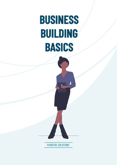# **BUSINESS BUILDING BASICS**

PHARSYDE SOLUTIONS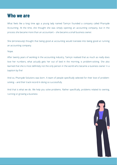#### **Who we are**

What feels like a long time ago a young lady named Tamryn founded a company called Pharsyde Accounting. At the time, she thought she was simply opening an accounting company, but in the process she became more than an accountant – she became a small business owner.

She (erroneously) thought that being good at accounting would translate into being good at running an accounting company.

Nope.

After twenty years of working in the accounting industry, Tamryn realised that as much as really does love her numbers, what actually gets her out of bed in the morning, is problem-solving. She also learned that she is most definitely not the only person in the world who became a business owner in a baptism by fire!

And so, Pharsyde Solutions was born. A team of people specifically selected for their love of problemsolving – and their track record in doing so successfully.

And that is what we do. We help you solve problems. Rather specifically, problems related to owning, running or growing a business

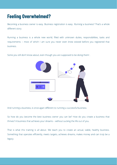## **Feeling Overwhelmed?**

Becoming a business owner is easy. Business registration is easy. *Running* a business? That's a whole different story.

Running a business is a whole new world, filled with unknown duties, responsibilities, tasks and requirements – most of which I am sure you never even knew existed before you registered that business.

Some you still don't know about, even though you are supposed to be doing them! .



And running a business, is once again different to running a *successful* business.

So how do you become the best business owner you can be? How do you create a business that thrives? A business that achieves your dreams – without sucking the life out of you.

That is what this training is all about. We teach you to create an actual, viable, healthy business. Something that operates efficiently, meets targets, achieves dreams, makes money and can truly be a legacy.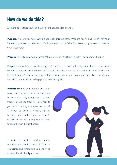### **How do we do this?**

At Pharsyde we talk about the "Four P's" of business a lot. They are:

Why are you here? Why did you open this business? What are you hoping to achieve? What Purpose. impact do you want to have? What life do you want to live? What impression do you want to make on your customers?

**Process.** So we know why, now what? What do you do? And how – exactly – do you want it done?

 Lone wolves are lonely. A successful business requires a healthy team. There is a world of People. difference between a staff member and a team member. You want team members. How do you find the right people? How do you know if they fit your culture, your vision and your plan? How do you know if this is the person to help you achieve your goals?

 All your foundations are in Performance. place, now you need to know how your business is actually doing. What can you track? How do you track it? How often do you track? How do you analyse the results? In order to build a healthy, thriving business, you need to have all four P's established and functioning. You also need to build them in the right order.

In order to build a healthy, thriving business, you need to have all four P's established and functioning. You also need to build them in the right order.

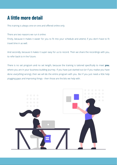## **A little more detail**

This training is always one-on-one and offered online only.

There are two reasons we run it online:

Firstly, because it makes it easier for you to fit into your schedule and attend, if you don't have to fit travel time in as well.

And secondly, because it makes it super easy for us to record. Then we share the recordings with you, to refer back to in the future.

There is no set program and no set length, because the training is tailored specically to meet , you where you are in your business-building journey. If you have just started out (or if you realise you have done *everything* wrong), then we will do the entire program with you. But if you just need a little help plugging gaps and improving things - then those are the bits we help with.

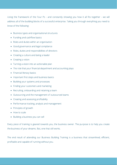Using the framework of the Four Ps - and constantly showing you how it all fits together - we will address all of the building blocks of a successful enterprise. Taking you through everything you need to know of the following:

- Business types and organisational structures
- $\bullet$  Funding and cashflow basics
- Roles and duties within an organisation
- Good governance and legal compliance
- Roles, duties and responsibilities of directors
- Creating a culture and being a leader
- Creating a vision
- Turning a vision into an actionable plan
- The role that your financial department and accounting plays
- Financial literacy basics
- Important first steps and business basics
- Building your systems and processes
- Finding your customers and marketing
- Recruiting, onboarding and retaining a team
- Outsourcing and the management of outsourced teams
- Creating and assessing profitability
- Performance tracking, analysis and management
- Principles of growth
- How to scale
- Building a business you can sell

Every piece of training is geared towards you, the business owner. The purpose is to help you create the business of your dreams. But, one that still works.

The end result of attending our Business Building Training is a business that streamlined, efficient, profitable and capable of running without you.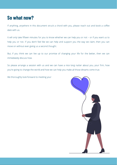## **So what now?**

If anything, anywhere in this document struck a chord with you, please reach out and book a coffee date with us.

It will only take fifteen minutes for you to know whether we can help you or not - or if you want us to help you or not. If you don't feel like we can help and support you the way we claim, then you can move on without ever giving us a second thought.

But, if you think we can live up to our promise of changing your life for the better, then we can immediately discuss how.

So please arrange a session with us and we can have a nice long natter about you, your firm, how you're going to change the world and how we can help you make all those dreams come true.

We thoroughly look forward to meeting you!